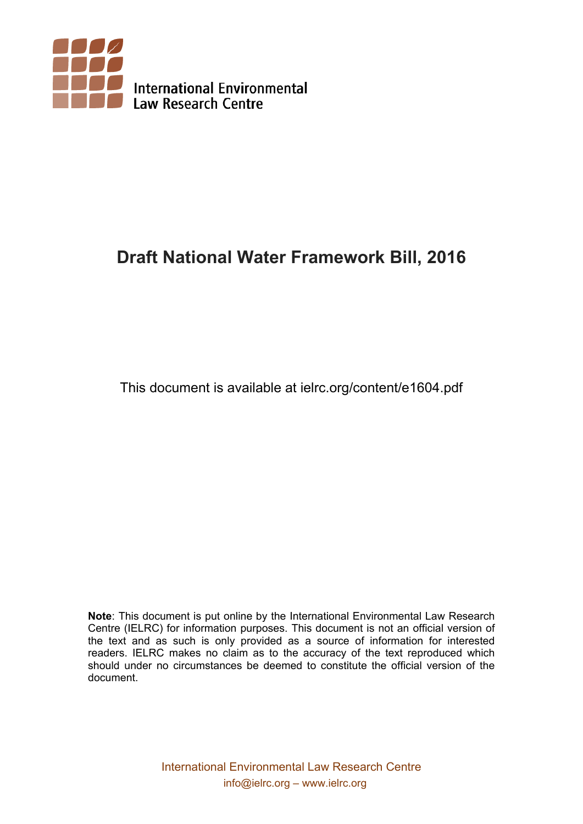

# **Draft National Water Framework Bill, 2016**

This document is available at ielrc.org/content/e1604.pdf

**Note**: This document is put online by the International Environmental Law Research Centre (IELRC) for information purposes. This document is not an official version of the text and as such is only provided as a source of information for interested readers. IELRC makes no claim as to the accuracy of the text reproduced which should under no circumstances be deemed to constitute the official version of the document.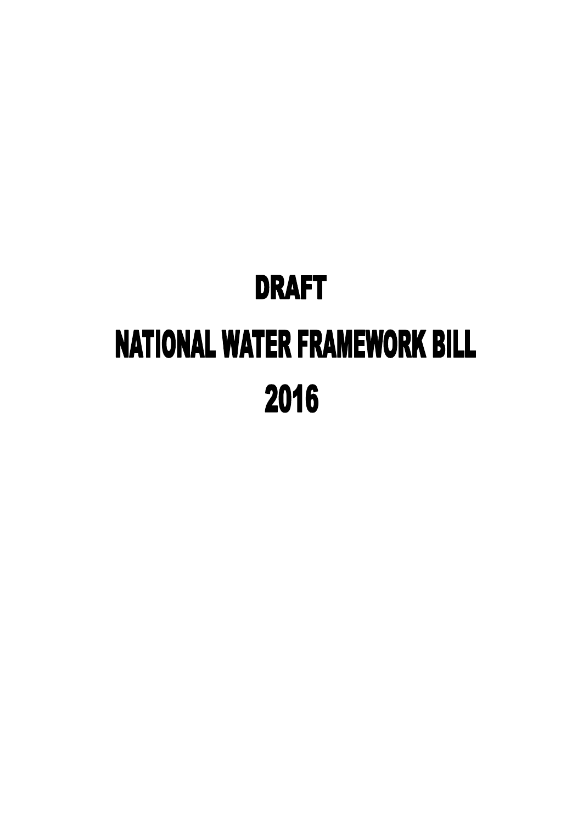# **DRAFT NATIONAL WATER FRAMEWORK BILL** 2016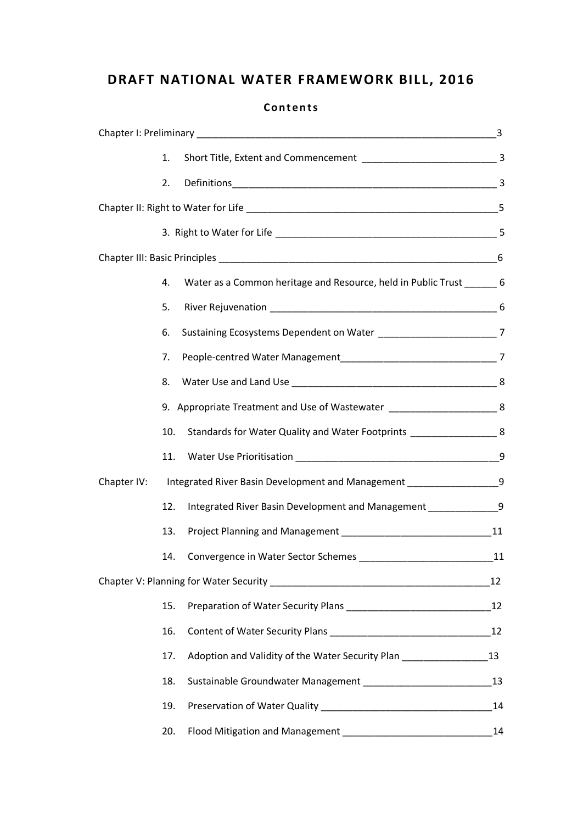## **DRAFT NATIONAL WATER FRAMEWORK BILL, 2016**

|             | 1.  |                                                                               |    |
|-------------|-----|-------------------------------------------------------------------------------|----|
|             | 2.  |                                                                               |    |
|             |     |                                                                               |    |
|             |     |                                                                               |    |
|             |     |                                                                               |    |
|             | 4.  | Water as a Common heritage and Resource, held in Public Trust _______ 6       |    |
|             | 5.  |                                                                               |    |
|             | 6.  | Sustaining Ecosystems Dependent on Water ________________________________7    |    |
|             | 7.  |                                                                               |    |
|             | 8.  |                                                                               |    |
|             |     | 9. Appropriate Treatment and Use of Wastewater ____________________________ 8 |    |
|             | 10. | Standards for Water Quality and Water Footprints _______________________ 8    |    |
|             | 11. |                                                                               |    |
| Chapter IV: |     | Integrated River Basin Development and Management ____________________9       |    |
|             | 12. | Integrated River Basin Development and Management ______________9             |    |
|             | 13. |                                                                               |    |
|             |     | 14. Convergence in Water Sector Schemes                                       | 11 |
|             |     |                                                                               |    |
|             | 15. |                                                                               |    |
|             | 16. |                                                                               |    |
|             | 17. | Adoption and Validity of the Water Security Plan _________________            | 13 |
|             | 18. |                                                                               |    |
|             | 19. |                                                                               | 14 |
|             | 20. |                                                                               | 14 |

#### **Co n t e n ts**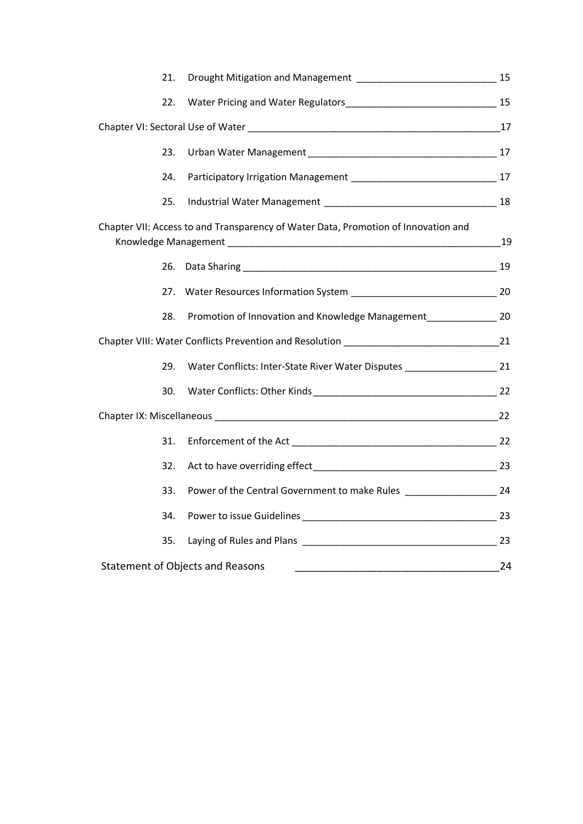| 21. |                                                                                      |    |  |  |
|-----|--------------------------------------------------------------------------------------|----|--|--|
| 22. |                                                                                      |    |  |  |
|     |                                                                                      |    |  |  |
| 23. |                                                                                      |    |  |  |
| 24. |                                                                                      |    |  |  |
| 25. |                                                                                      |    |  |  |
|     | Chapter VII: Access to and Transparency of Water Data, Promotion of Innovation and   |    |  |  |
| 26. |                                                                                      |    |  |  |
| 27. |                                                                                      |    |  |  |
| 28. | Promotion of Innovation and Knowledge Management__________________ 20                |    |  |  |
|     |                                                                                      |    |  |  |
| 29. | Water Conflicts: Inter-State River Water Disputes _______________________________ 21 |    |  |  |
| 30. |                                                                                      |    |  |  |
|     |                                                                                      |    |  |  |
| 31. |                                                                                      |    |  |  |
| 32. |                                                                                      |    |  |  |
| 33. | Power of the Central Government to make Rules __________________________ 24          |    |  |  |
| 34. |                                                                                      |    |  |  |
| 35. |                                                                                      |    |  |  |
|     | <b>Statement of Objects and Reasons</b>                                              | 24 |  |  |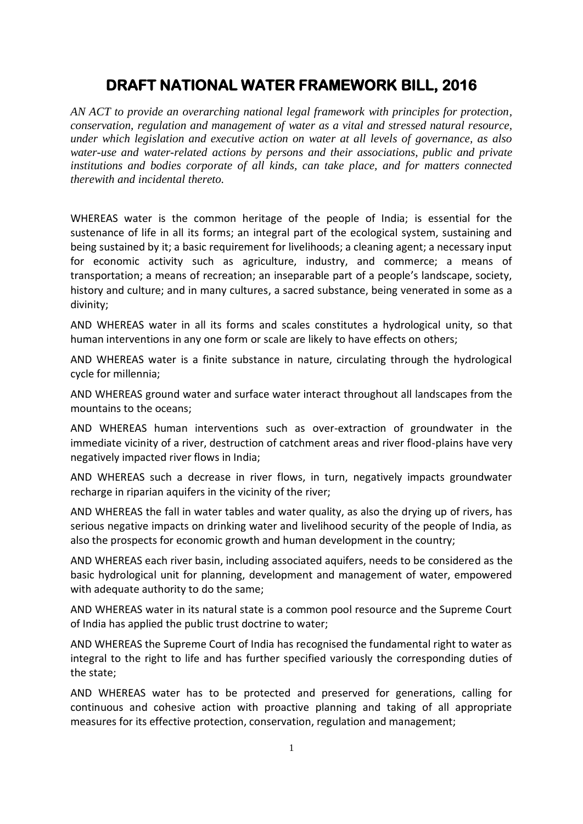## **DRAFT NATIONAL WATER FRAMEWORK BILL, 2016**

*AN ACT to provide an overarching national legal framework with principles for protection, conservation, regulation and management of water as a vital and stressed natural resource, under which legislation and executive action on water at all levels of governance, as also water-use and water-related actions by persons and their associations, public and private institutions and bodies corporate of all kinds, can take place, and for matters connected therewith and incidental thereto.* 

WHEREAS water is the common heritage of the people of India; is essential for the sustenance of life in all its forms; an integral part of the ecological system, sustaining and being sustained by it; a basic requirement for livelihoods; a cleaning agent; a necessary input for economic activity such as agriculture, industry, and commerce; a means of transportation; a means of recreation; an inseparable part of a people's landscape, society, history and culture; and in many cultures, a sacred substance, being venerated in some as a divinity;

AND WHEREAS water in all its forms and scales constitutes a hydrological unity, so that human interventions in any one form or scale are likely to have effects on others;

AND WHEREAS water is a finite substance in nature, circulating through the hydrological cycle for millennia;

AND WHEREAS ground water and surface water interact throughout all landscapes from the mountains to the oceans;

AND WHEREAS human interventions such as over-extraction of groundwater in the immediate vicinity of a river, destruction of catchment areas and river flood-plains have very negatively impacted river flows in India;

AND WHEREAS such a decrease in river flows, in turn, negatively impacts groundwater recharge in riparian aquifers in the vicinity of the river;

AND WHEREAS the fall in water tables and water quality, as also the drying up of rivers, has serious negative impacts on drinking water and livelihood security of the people of India, as also the prospects for economic growth and human development in the country;

AND WHEREAS each river basin, including associated aquifers, needs to be considered as the basic hydrological unit for planning, development and management of water, empowered with adequate authority to do the same;

AND WHEREAS water in its natural state is a common pool resource and the Supreme Court of India has applied the public trust doctrine to water;

AND WHEREAS the Supreme Court of India has recognised the fundamental right to water as integral to the right to life and has further specified variously the corresponding duties of the state;

AND WHEREAS water has to be protected and preserved for generations, calling for continuous and cohesive action with proactive planning and taking of all appropriate measures for its effective protection, conservation, regulation and management;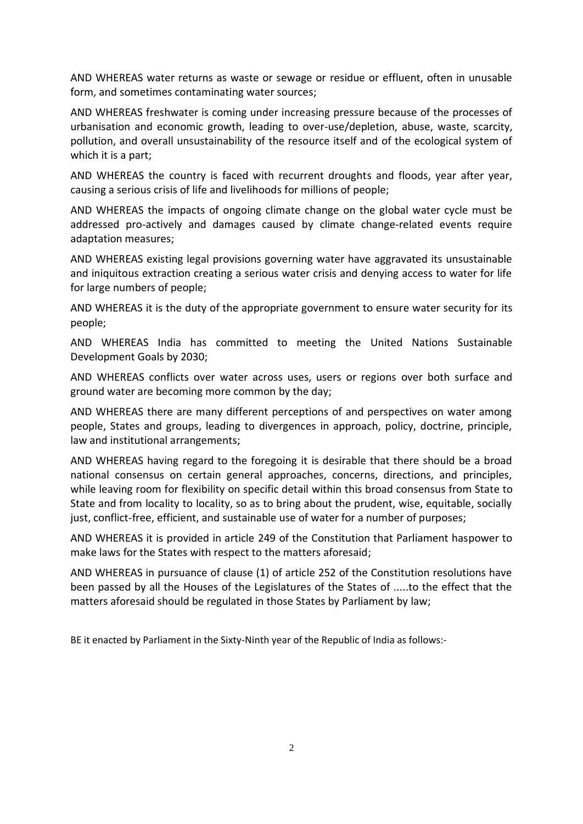AND WHEREAS water returns as waste or sewage or residue or effluent, often in unusable form, and sometimes contaminating water sources;

AND WHEREAS freshwater is coming under increasing pressure because of the processes of urbanisation and economic growth, leading to over-use/depletion, abuse, waste, scarcity, pollution, and overall unsustainability of the resource itself and of the ecological system of which it is a part;

AND WHEREAS the country is faced with recurrent droughts and floods, year after year, causing a serious crisis of life and livelihoods for millions of people;

AND WHEREAS the impacts of ongoing climate change on the global water cycle must be addressed pro-actively and damages caused by climate change-related events require adaptation measures;

AND WHEREAS existing legal provisions governing water have aggravated its unsustainable and iniquitous extraction creating a serious water crisis and denying access to water for life for large numbers of people;

AND WHEREAS it is the duty of the appropriate government to ensure water security for its people;

AND WHEREAS India has committed to meeting the United Nations Sustainable Development Goals by 2030;

AND WHEREAS conflicts over water across uses, users or regions over both surface and ground water are becoming more common by the day;

AND WHEREAS there are many different perceptions of and perspectives on water among people, States and groups, leading to divergences in approach, policy, doctrine, principle, law and institutional arrangements;

AND WHEREAS having regard to the foregoing it is desirable that there should be a broad national consensus on certain general approaches, concerns, directions, and principles, while leaving room for flexibility on specific detail within this broad consensus from State to State and from locality to locality, so as to bring about the prudent, wise, equitable, socially just, conflict-free, efficient, and sustainable use of water for a number of purposes;

AND WHEREAS it is provided in article 249 of the Constitution that Parliament haspower to make laws for the States with respect to the matters aforesaid;

AND WHEREAS in pursuance of clause (1) of article 252 of the Constitution resolutions have been passed by all the Houses of the Legislatures of the States of .....to the effect that the matters aforesaid should be regulated in those States by Parliament by law;

BE it enacted by Parliament in the Sixty-Ninth year of the Republic of India as follows:-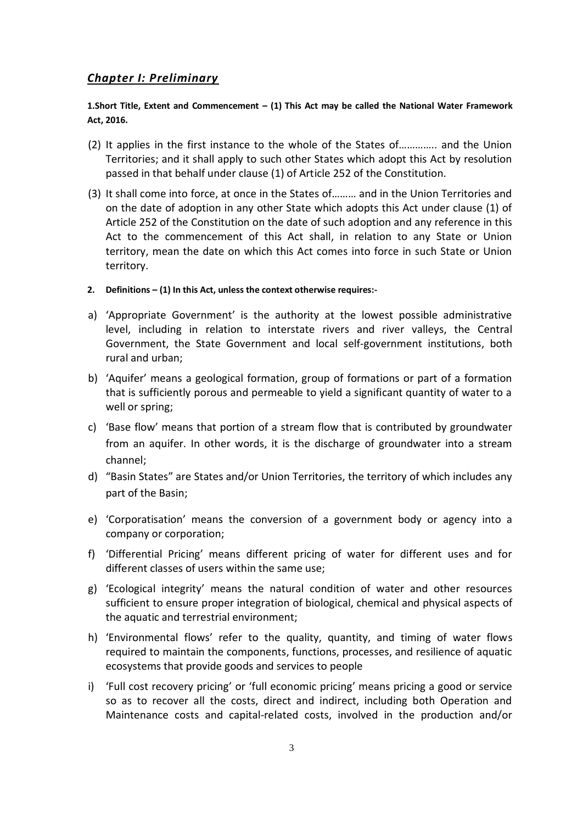#### *Chapter I: Preliminary*

#### **1.Short Title, Extent and Commencement – (1) This Act may be called the National Water Framework Act, 2016.**

- (2) It applies in the first instance to the whole of the States of………….. and the Union Territories; and it shall apply to such other States which adopt this Act by resolution passed in that behalf under clause (1) of Article 252 of the Constitution.
- (3) It shall come into force, at once in the States of……… and in the Union Territories and on the date of adoption in any other State which adopts this Act under clause (1) of Article 252 of the Constitution on the date of such adoption and any reference in this Act to the commencement of this Act shall, in relation to any State or Union territory, mean the date on which this Act comes into force in such State or Union territory.
- **2. Definitions – (1) In this Act, unless the context otherwise requires:-**
- a) 'Appropriate Government' is the authority at the lowest possible administrative level, including in relation to interstate rivers and river valleys, the Central Government, the State Government and local self-government institutions, both rural and urban;
- b) 'Aquifer' means a geological formation, group of formations or part of a formation that is sufficiently porous and permeable to yield a significant quantity of water to a well or spring;
- c) 'Base flow' means that portion of a stream flow that is contributed by groundwater from an aquifer. In other words, it is the discharge of groundwater into a stream channel;
- d) "Basin States" are States and/or Union Territories, the territory of which includes any part of the Basin;
- e) 'Corporatisation' means the conversion of a government body or agency into a company or corporation;
- f) 'Differential Pricing' means different pricing of water for different uses and for different classes of users within the same use;
- g) 'Ecological integrity' means the natural condition of water and other resources sufficient to ensure proper integration of biological, chemical and physical aspects of the aquatic and terrestrial environment;
- h) 'Environmental flows' refer to the quality, quantity, and timing of water flows required to maintain the components, functions, processes, and resilience of aquatic ecosystems that provide goods and services to people
- i) 'Full cost recovery pricing' or 'full economic pricing' means pricing a good or service so as to recover all the costs, direct and indirect, including both Operation and Maintenance costs and capital-related costs, involved in the production and/or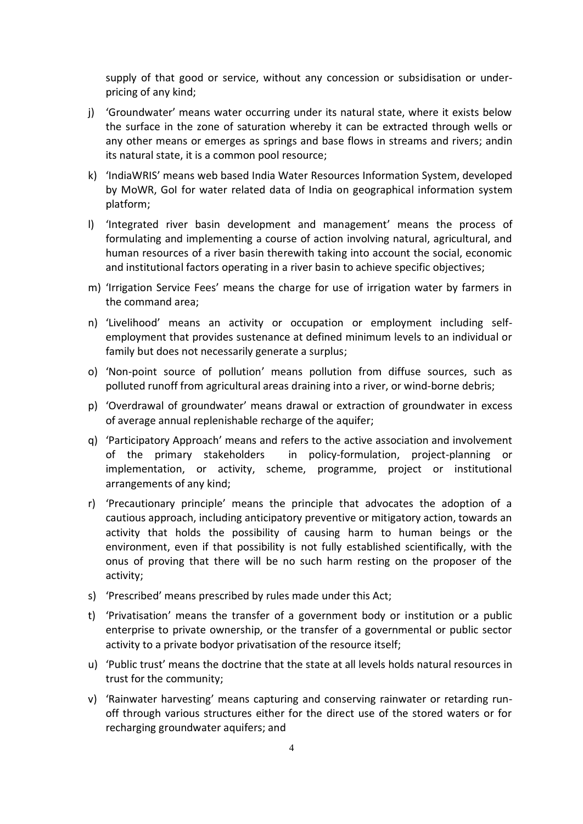supply of that good or service, without any concession or subsidisation or underpricing of any kind;

- j) 'Groundwater' means water occurring under its natural state, where it exists below the surface in the zone of saturation whereby it can be extracted through wells or any other means or emerges as springs and base flows in streams and rivers; andin its natural state, it is a common pool resource;
- k) 'IndiaWRIS' means web based India Water Resources Information System, developed by MoWR, GoI for water related data of India on geographical information system platform;
- l) 'Integrated river basin development and management' means the process of formulating and implementing a course of action involving natural, agricultural, and human resources of a river basin therewith taking into account the social, economic and institutional factors operating in a river basin to achieve specific objectives;
- m) 'Irrigation Service Fees' means the charge for use of irrigation water by farmers in the command area;
- n) 'Livelihood' means an activity or occupation or employment including selfemployment that provides sustenance at defined minimum levels to an individual or family but does not necessarily generate a surplus;
- o) 'Non-point source of pollution' means pollution from diffuse sources, such as polluted runoff from agricultural areas draining into a river, or wind-borne debris;
- p) 'Overdrawal of groundwater' means drawal or extraction of groundwater in excess of average annual replenishable recharge of the aquifer;
- q) 'Participatory Approach' means and refers to the active association and involvement of the primary stakeholders in policy-formulation, project-planning or implementation, or activity, scheme, programme, project or institutional arrangements of any kind;
- r) 'Precautionary principle' means the principle that advocates the adoption of a cautious approach, including anticipatory preventive or mitigatory action, towards an activity that holds the possibility of causing harm to human beings or the environment, even if that possibility is not fully established scientifically, with the onus of proving that there will be no such harm resting on the proposer of the activity;
- s) 'Prescribed' means prescribed by rules made under this Act;
- t) 'Privatisation' means the transfer of a government body or institution or a public enterprise to private ownership, or the transfer of a governmental or public sector activity to a private bodyor privatisation of the resource itself;
- u) 'Public trust' means the doctrine that the state at all levels holds natural resources in trust for the community;
- v) 'Rainwater harvesting' means capturing and conserving rainwater or retarding runoff through various structures either for the direct use of the stored waters or for recharging groundwater aquifers; and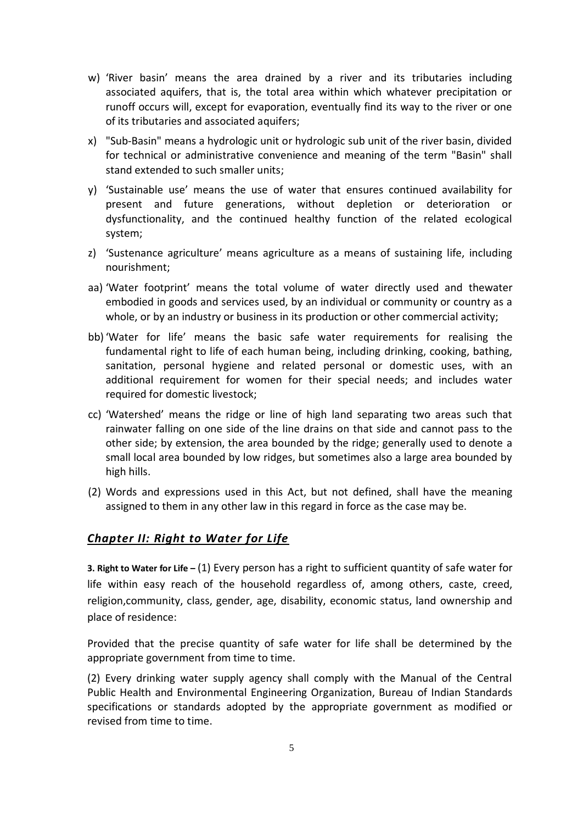- w) 'River basin' means the area drained by a river and its tributaries including associated aquifers, that is, the total area within which whatever precipitation or runoff occurs will, except for evaporation, eventually find its way to the river or one of its tributaries and associated aquifers;
- x) "Sub-Basin" means a hydrologic unit or hydrologic sub unit of the river basin, divided for technical or administrative convenience and meaning of the term "Basin" shall stand extended to such smaller units;
- y) 'Sustainable use' means the use of water that ensures continued availability for present and future generations, without depletion or deterioration or dysfunctionality, and the continued healthy function of the related ecological system;
- z) 'Sustenance agriculture' means agriculture as a means of sustaining life, including nourishment;
- aa) 'Water footprint' means the total volume of water directly used and thewater embodied in goods and services used, by an individual or community or country as a whole, or by an industry or business in its production or other commercial activity;
- bb) 'Water for life' means the basic safe water requirements for realising the fundamental right to life of each human being, including drinking, cooking, bathing, sanitation, personal hygiene and related personal or domestic uses, with an additional requirement for women for their special needs; and includes water required for domestic livestock;
- cc) 'Watershed' means the ridge or line of high land separating two areas such that rainwater falling on one side of the line drains on that side and cannot pass to the other side; by extension, the area bounded by the ridge; generally used to denote a small local area bounded by low ridges, but sometimes also a large area bounded by high hills.
- (2) Words and expressions used in this Act, but not defined, shall have the meaning assigned to them in any other law in this regard in force as the case may be.

#### *Chapter II: Right to Water for Life*

**3. Right to Water for Life –** (1) Every person has a right to sufficient quantity of safe water for life within easy reach of the household regardless of, among others, caste, creed, religion,community, class, gender, age, disability, economic status, land ownership and place of residence:

Provided that the precise quantity of safe water for life shall be determined by the appropriate government from time to time.

(2) Every drinking water supply agency shall comply with the Manual of the Central Public Health and Environmental Engineering Organization, Bureau of Indian Standards specifications or standards adopted by the appropriate government as modified or revised from time to time.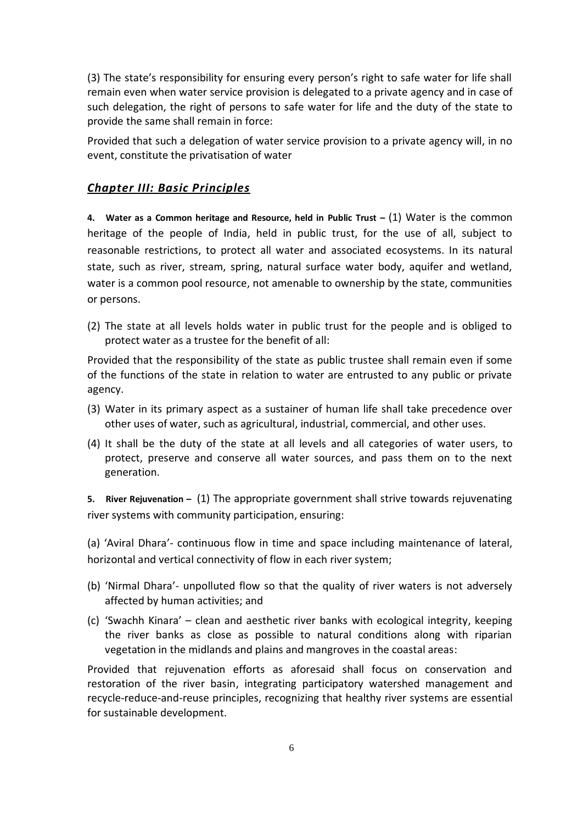(3) The state's responsibility for ensuring every person's right to safe water for life shall remain even when water service provision is delegated to a private agency and in case of such delegation, the right of persons to safe water for life and the duty of the state to provide the same shall remain in force:

Provided that such a delegation of water service provision to a private agency will, in no event, constitute the privatisation of water

#### *Chapter III: Basic Principles*

**4. Water as a Common heritage and Resource, held in Public Trust –** (1) Water is the common heritage of the people of India, held in public trust, for the use of all, subject to reasonable restrictions, to protect all water and associated ecosystems. In its natural state, such as river, stream, spring, natural surface water body, aquifer and wetland, water is a common pool resource, not amenable to ownership by the state, communities or persons.

(2) The state at all levels holds water in public trust for the people and is obliged to protect water as a trustee for the benefit of all:

Provided that the responsibility of the state as public trustee shall remain even if some of the functions of the state in relation to water are entrusted to any public or private agency.

- (3) Water in its primary aspect as a sustainer of human life shall take precedence over other uses of water, such as agricultural, industrial, commercial, and other uses.
- (4) It shall be the duty of the state at all levels and all categories of water users, to protect, preserve and conserve all water sources, and pass them on to the next generation.

**5. River Rejuvenation –** (1) The appropriate government shall strive towards rejuvenating river systems with community participation, ensuring:

(a) 'Aviral Dhara'- continuous flow in time and space including maintenance of lateral, horizontal and vertical connectivity of flow in each river system;

- (b) 'Nirmal Dhara'- unpolluted flow so that the quality of river waters is not adversely affected by human activities; and
- (c) 'Swachh Kinara' clean and aesthetic river banks with ecological integrity, keeping the river banks as close as possible to natural conditions along with riparian vegetation in the midlands and plains and mangroves in the coastal areas:

Provided that rejuvenation efforts as aforesaid shall focus on conservation and restoration of the river basin, integrating participatory watershed management and recycle-reduce-and-reuse principles, recognizing that healthy river systems are essential for sustainable development.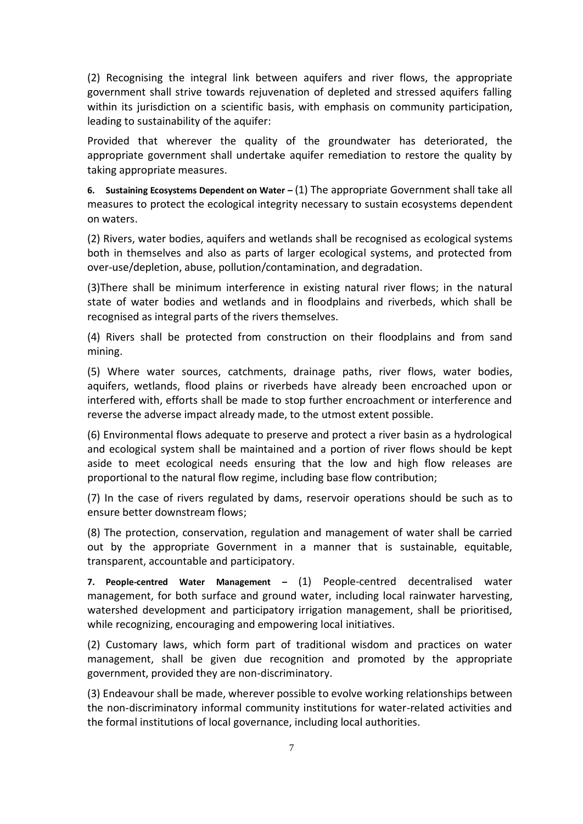(2) Recognising the integral link between aquifers and river flows, the appropriate government shall strive towards rejuvenation of depleted and stressed aquifers falling within its jurisdiction on a scientific basis, with emphasis on community participation, leading to sustainability of the aquifer:

Provided that wherever the quality of the groundwater has deteriorated, the appropriate government shall undertake aquifer remediation to restore the quality by taking appropriate measures.

**6. Sustaining Ecosystems Dependent on Water –** (1) The appropriate Government shall take all measures to protect the ecological integrity necessary to sustain ecosystems dependent on waters.

(2) Rivers, water bodies, aquifers and wetlands shall be recognised as ecological systems both in themselves and also as parts of larger ecological systems, and protected from over-use/depletion, abuse, pollution/contamination, and degradation.

(3)There shall be minimum interference in existing natural river flows; in the natural state of water bodies and wetlands and in floodplains and riverbeds, which shall be recognised as integral parts of the rivers themselves.

(4) Rivers shall be protected from construction on their floodplains and from sand mining.

(5) Where water sources, catchments, drainage paths, river flows, water bodies, aquifers, wetlands, flood plains or riverbeds have already been encroached upon or interfered with, efforts shall be made to stop further encroachment or interference and reverse the adverse impact already made, to the utmost extent possible.

(6) Environmental flows adequate to preserve and protect a river basin as a hydrological and ecological system shall be maintained and a portion of river flows should be kept aside to meet ecological needs ensuring that the low and high flow releases are proportional to the natural flow regime, including base flow contribution;

(7) In the case of rivers regulated by dams, reservoir operations should be such as to ensure better downstream flows;

(8) The protection, conservation, regulation and management of water shall be carried out by the appropriate Government in a manner that is sustainable, equitable, transparent, accountable and participatory.

**7. People-centred Water Management –** (1) People-centred decentralised water management, for both surface and ground water, including local rainwater harvesting, watershed development and participatory irrigation management, shall be prioritised, while recognizing, encouraging and empowering local initiatives.

(2) Customary laws, which form part of traditional wisdom and practices on water management, shall be given due recognition and promoted by the appropriate government, provided they are non-discriminatory.

(3) Endeavour shall be made, wherever possible to evolve working relationships between the non-discriminatory informal community institutions for water-related activities and the formal institutions of local governance, including local authorities.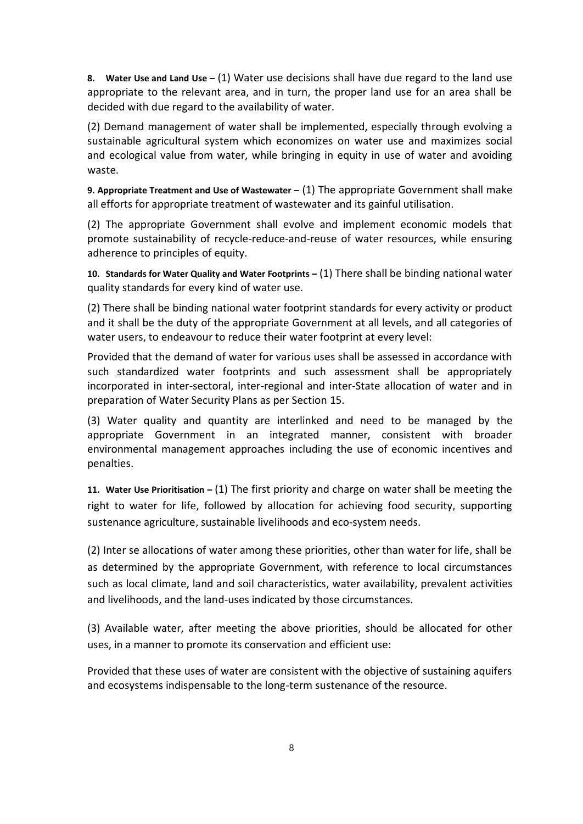**8. Water Use and Land Use –** (1) Water use decisions shall have due regard to the land use appropriate to the relevant area, and in turn, the proper land use for an area shall be decided with due regard to the availability of water.

(2) Demand management of water shall be implemented, especially through evolving a sustainable agricultural system which economizes on water use and maximizes social and ecological value from water, while bringing in equity in use of water and avoiding waste.

**9. Appropriate Treatment and Use of Wastewater –** (1) The appropriate Government shall make all efforts for appropriate treatment of wastewater and its gainful utilisation.

(2) The appropriate Government shall evolve and implement economic models that promote sustainability of recycle-reduce-and-reuse of water resources, while ensuring adherence to principles of equity.

**10. Standards for Water Quality and Water Footprints –** (1) There shall be binding national water quality standards for every kind of water use.

(2) There shall be binding national water footprint standards for every activity or product and it shall be the duty of the appropriate Government at all levels, and all categories of water users, to endeavour to reduce their water footprint at every level:

Provided that the demand of water for various uses shall be assessed in accordance with such standardized water footprints and such assessment shall be appropriately incorporated in inter-sectoral, inter-regional and inter-State allocation of water and in preparation of Water Security Plans as per Section 15.

(3) Water quality and quantity are interlinked and need to be managed by the appropriate Government in an integrated manner, consistent with broader environmental management approaches including the use of economic incentives and penalties.

**11. Water Use Prioritisation –** (1) The first priority and charge on water shall be meeting the right to water for life, followed by allocation for achieving food security, supporting sustenance agriculture, sustainable livelihoods and eco-system needs.

(2) Inter se allocations of water among these priorities, other than water for life, shall be as determined by the appropriate Government, with reference to local circumstances such as local climate, land and soil characteristics, water availability, prevalent activities and livelihoods, and the land-uses indicated by those circumstances.

(3) Available water, after meeting the above priorities, should be allocated for other uses, in a manner to promote its conservation and efficient use:

Provided that these uses of water are consistent with the objective of sustaining aquifers and ecosystems indispensable to the long-term sustenance of the resource.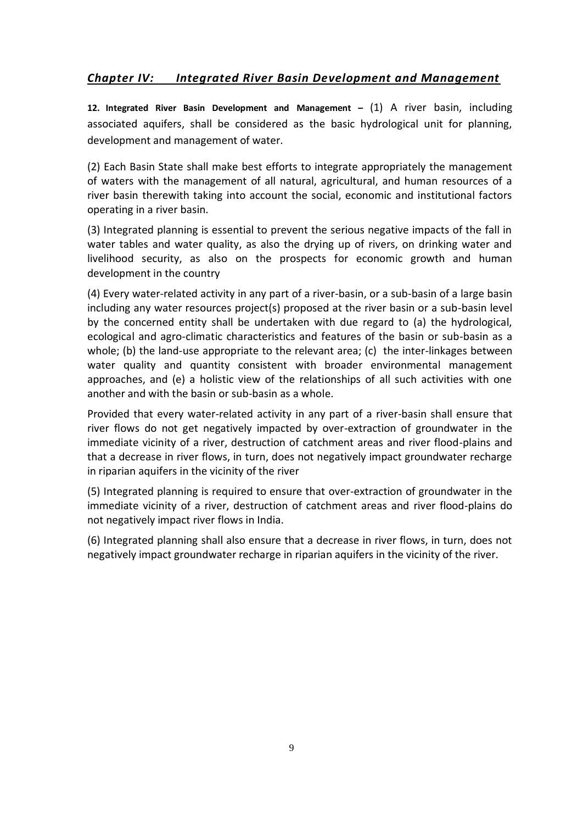#### *Chapter IV: Integrated River Basin Development and Management*

**12. Integrated River Basin Development and Management –** (1) A river basin, including associated aquifers, shall be considered as the basic hydrological unit for planning, development and management of water.

(2) Each Basin State shall make best efforts to integrate appropriately the management of waters with the management of all natural, agricultural, and human resources of a river basin therewith taking into account the social, economic and institutional factors operating in a river basin.

(3) Integrated planning is essential to prevent the serious negative impacts of the fall in water tables and water quality, as also the drying up of rivers, on drinking water and livelihood security, as also on the prospects for economic growth and human development in the country

(4) Every water-related activity in any part of a river-basin, or a sub-basin of a large basin including any water resources project(s) proposed at the river basin or a sub-basin level by the concerned entity shall be undertaken with due regard to (a) the hydrological, ecological and agro-climatic characteristics and features of the basin or sub-basin as a whole; (b) the land-use appropriate to the relevant area; (c) the inter-linkages between water quality and quantity consistent with broader environmental management approaches, and (e) a holistic view of the relationships of all such activities with one another and with the basin or sub-basin as a whole.

Provided that every water-related activity in any part of a river-basin shall ensure that river flows do not get negatively impacted by over-extraction of groundwater in the immediate vicinity of a river, destruction of catchment areas and river flood-plains and that a decrease in river flows, in turn, does not negatively impact groundwater recharge in riparian aquifers in the vicinity of the river

(5) Integrated planning is required to ensure that over-extraction of groundwater in the immediate vicinity of a river, destruction of catchment areas and river flood-plains do not negatively impact river flows in India.

(6) Integrated planning shall also ensure that a decrease in river flows, in turn, does not negatively impact groundwater recharge in riparian aquifers in the vicinity of the river.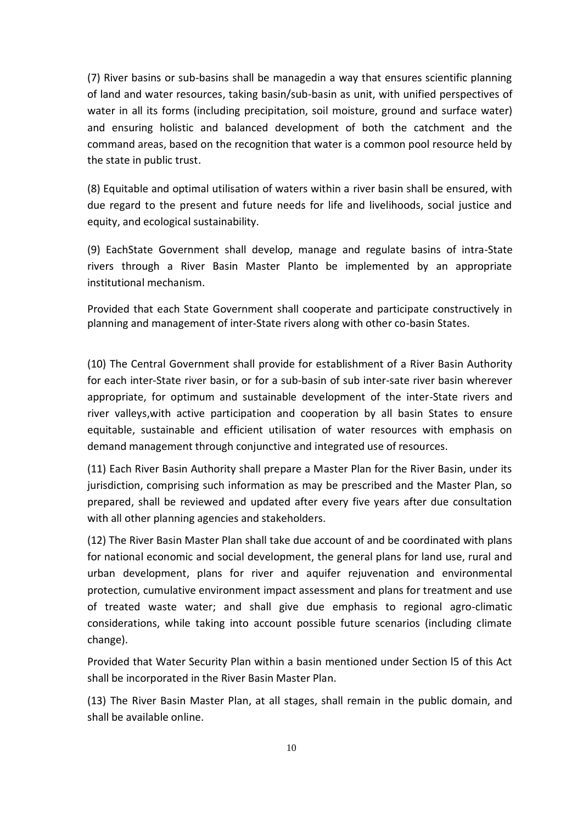(7) River basins or sub-basins shall be managedin a way that ensures scientific planning of land and water resources, taking basin/sub-basin as unit, with unified perspectives of water in all its forms (including precipitation, soil moisture, ground and surface water) and ensuring holistic and balanced development of both the catchment and the command areas, based on the recognition that water is a common pool resource held by the state in public trust.

(8) Equitable and optimal utilisation of waters within a river basin shall be ensured, with due regard to the present and future needs for life and livelihoods, social justice and equity, and ecological sustainability.

(9) EachState Government shall develop, manage and regulate basins of intra-State rivers through a River Basin Master Planto be implemented by an appropriate institutional mechanism.

Provided that each State Government shall cooperate and participate constructively in planning and management of inter-State rivers along with other co-basin States.

(10) The Central Government shall provide for establishment of a River Basin Authority for each inter-State river basin, or for a sub-basin of sub inter-sate river basin wherever appropriate, for optimum and sustainable development of the inter-State rivers and river valleys,with active participation and cooperation by all basin States to ensure equitable, sustainable and efficient utilisation of water resources with emphasis on demand management through conjunctive and integrated use of resources.

(11) Each River Basin Authority shall prepare a Master Plan for the River Basin, under its jurisdiction, comprising such information as may be prescribed and the Master Plan, so prepared, shall be reviewed and updated after every five years after due consultation with all other planning agencies and stakeholders.

(12) The River Basin Master Plan shall take due account of and be coordinated with plans for national economic and social development, the general plans for land use, rural and urban development, plans for river and aquifer rejuvenation and environmental protection, cumulative environment impact assessment and plans for treatment and use of treated waste water; and shall give due emphasis to regional agro-climatic considerations, while taking into account possible future scenarios (including climate change).

Provided that Water Security Plan within a basin mentioned under Section l5 of this Act shall be incorporated in the River Basin Master Plan.

(13) The River Basin Master Plan, at all stages, shall remain in the public domain, and shall be available online.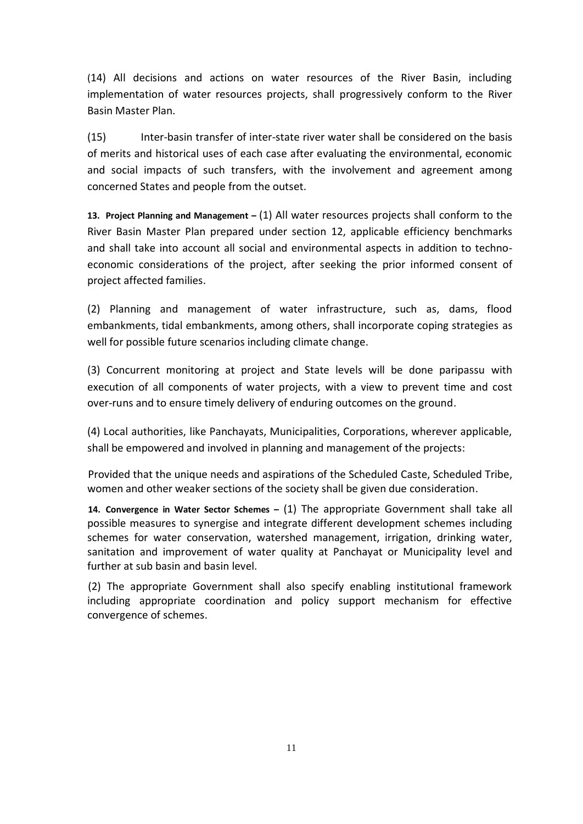(14) All decisions and actions on water resources of the River Basin, including implementation of water resources projects, shall progressively conform to the River Basin Master Plan.

(15) Inter-basin transfer of inter-state river water shall be considered on the basis of merits and historical uses of each case after evaluating the environmental, economic and social impacts of such transfers, with the involvement and agreement among concerned States and people from the outset.

**13. Project Planning and Management –** (1) All water resources projects shall conform to the River Basin Master Plan prepared under section 12, applicable efficiency benchmarks and shall take into account all social and environmental aspects in addition to technoeconomic considerations of the project, after seeking the prior informed consent of project affected families.

(2) Planning and management of water infrastructure, such as, dams, flood embankments, tidal embankments, among others, shall incorporate coping strategies as well for possible future scenarios including climate change.

(3) Concurrent monitoring at project and State levels will be done paripassu with execution of all components of water projects, with a view to prevent time and cost over-runs and to ensure timely delivery of enduring outcomes on the ground.

(4) Local authorities, like Panchayats, Municipalities, Corporations, wherever applicable, shall be empowered and involved in planning and management of the projects:

Provided that the unique needs and aspirations of the Scheduled Caste, Scheduled Tribe, women and other weaker sections of the society shall be given due consideration.

**14. Convergence in Water Sector Schemes –** (1) The appropriate Government shall take all possible measures to synergise and integrate different development schemes including schemes for water conservation, watershed management, irrigation, drinking water, sanitation and improvement of water quality at Panchayat or Municipality level and further at sub basin and basin level.

(2) The appropriate Government shall also specify enabling institutional framework including appropriate coordination and policy support mechanism for effective convergence of schemes.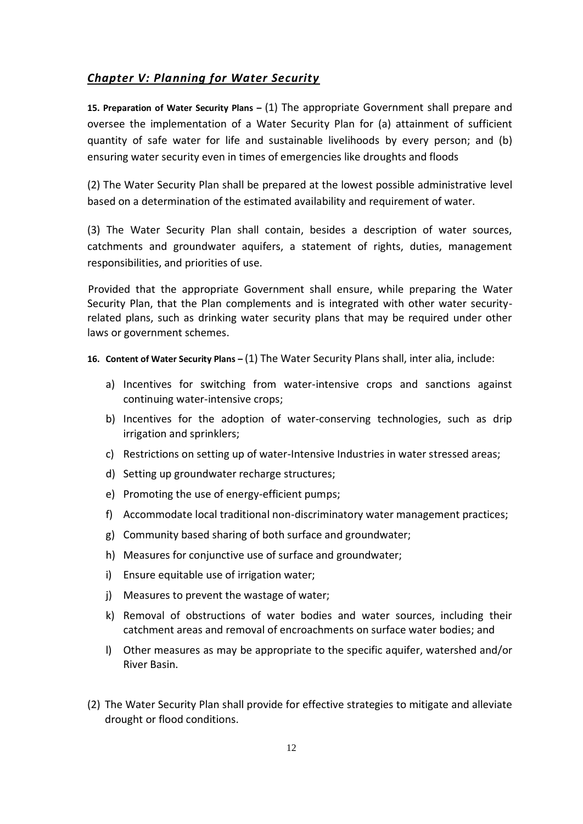#### *Chapter V: Planning for Water Security*

**15. Preparation of Water Security Plans –** (1) The appropriate Government shall prepare and oversee the implementation of a Water Security Plan for (a) attainment of sufficient quantity of safe water for life and sustainable livelihoods by every person; and (b) ensuring water security even in times of emergencies like droughts and floods

(2) The Water Security Plan shall be prepared at the lowest possible administrative level based on a determination of the estimated availability and requirement of water.

(3) The Water Security Plan shall contain, besides a description of water sources, catchments and groundwater aquifers, a statement of rights, duties, management responsibilities, and priorities of use.

Provided that the appropriate Government shall ensure, while preparing the Water Security Plan, that the Plan complements and is integrated with other water securityrelated plans, such as drinking water security plans that may be required under other laws or government schemes.

- **16. Content of Water Security Plans –** (1) The Water Security Plans shall, inter alia, include:
	- a) Incentives for switching from water-intensive crops and sanctions against continuing water-intensive crops;
	- b) Incentives for the adoption of water-conserving technologies, such as drip irrigation and sprinklers;
	- c) Restrictions on setting up of water-Intensive Industries in water stressed areas;
	- d) Setting up groundwater recharge structures;
	- e) Promoting the use of energy-efficient pumps;
	- f) Accommodate local traditional non-discriminatory water management practices;
	- g) Community based sharing of both surface and groundwater;
	- h) Measures for conjunctive use of surface and groundwater;
	- i) Ensure equitable use of irrigation water;
	- j) Measures to prevent the wastage of water;
	- k) Removal of obstructions of water bodies and water sources, including their catchment areas and removal of encroachments on surface water bodies; and
	- l) Other measures as may be appropriate to the specific aquifer, watershed and/or River Basin.
- (2) The Water Security Plan shall provide for effective strategies to mitigate and alleviate drought or flood conditions.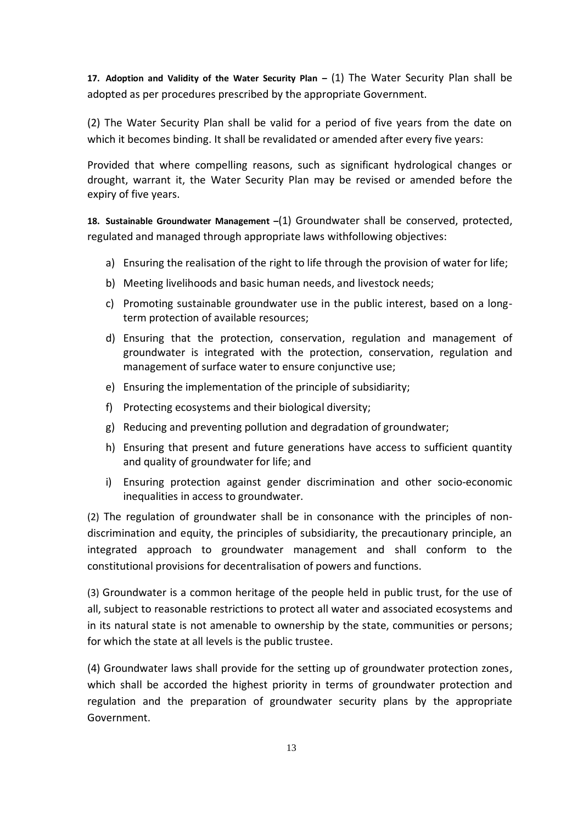**17. Adoption and Validity of the Water Security Plan –** (1) The Water Security Plan shall be adopted as per procedures prescribed by the appropriate Government.

(2) The Water Security Plan shall be valid for a period of five years from the date on which it becomes binding. It shall be revalidated or amended after every five years:

Provided that where compelling reasons, such as significant hydrological changes or drought, warrant it, the Water Security Plan may be revised or amended before the expiry of five years.

**18. Sustainable Groundwater Management –**(1) Groundwater shall be conserved, protected, regulated and managed through appropriate laws withfollowing objectives:

- a) Ensuring the realisation of the right to life through the provision of water for life;
- b) Meeting livelihoods and basic human needs, and livestock needs;
- c) Promoting sustainable groundwater use in the public interest, based on a longterm protection of available resources;
- d) Ensuring that the protection, conservation, regulation and management of groundwater is integrated with the protection, conservation, regulation and management of surface water to ensure conjunctive use;
- e) Ensuring the implementation of the principle of subsidiarity;
- f) Protecting ecosystems and their biological diversity;
- g) Reducing and preventing pollution and degradation of groundwater;
- h) Ensuring that present and future generations have access to sufficient quantity and quality of groundwater for life; and
- i) Ensuring protection against gender discrimination and other socio-economic inequalities in access to groundwater.

(2) The regulation of groundwater shall be in consonance with the principles of nondiscrimination and equity, the principles of subsidiarity, the precautionary principle, an integrated approach to groundwater management and shall conform to the constitutional provisions for decentralisation of powers and functions.

(3) Groundwater is a common heritage of the people held in public trust, for the use of all, subject to reasonable restrictions to protect all water and associated ecosystems and in its natural state is not amenable to ownership by the state, communities or persons; for which the state at all levels is the public trustee.

(4) Groundwater laws shall provide for the setting up of groundwater protection zones, which shall be accorded the highest priority in terms of groundwater protection and regulation and the preparation of groundwater security plans by the appropriate Government.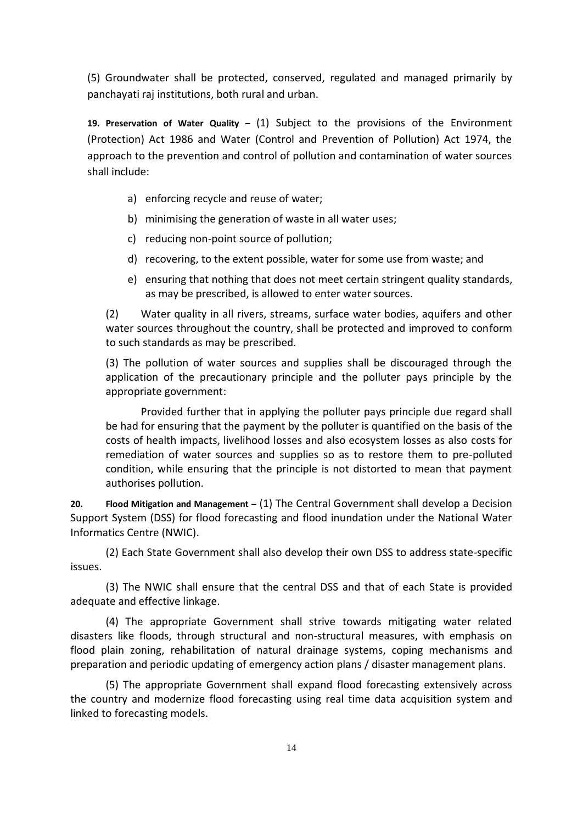(5) Groundwater shall be protected, conserved, regulated and managed primarily by panchayati raj institutions, both rural and urban.

**19. Preservation of Water Quality –** (1) Subject to the provisions of the Environment (Protection) Act 1986 and Water (Control and Prevention of Pollution) Act 1974, the approach to the prevention and control of pollution and contamination of water sources shall include:

- a) enforcing recycle and reuse of water;
- b) minimising the generation of waste in all water uses;
- c) reducing non-point source of pollution;
- d) recovering, to the extent possible, water for some use from waste; and
- e) ensuring that nothing that does not meet certain stringent quality standards, as may be prescribed, is allowed to enter water sources.

(2) Water quality in all rivers, streams, surface water bodies, aquifers and other water sources throughout the country, shall be protected and improved to conform to such standards as may be prescribed.

(3) The pollution of water sources and supplies shall be discouraged through the application of the precautionary principle and the polluter pays principle by the appropriate government:

Provided further that in applying the polluter pays principle due regard shall be had for ensuring that the payment by the polluter is quantified on the basis of the costs of health impacts, livelihood losses and also ecosystem losses as also costs for remediation of water sources and supplies so as to restore them to pre-polluted condition, while ensuring that the principle is not distorted to mean that payment authorises pollution.

**20. Flood Mitigation and Management –** (1) The Central Government shall develop a Decision Support System (DSS) for flood forecasting and flood inundation under the National Water Informatics Centre (NWIC).

(2) Each State Government shall also develop their own DSS to address state-specific issues.

(3) The NWIC shall ensure that the central DSS and that of each State is provided adequate and effective linkage.

(4) The appropriate Government shall strive towards mitigating water related disasters like floods, through structural and non-structural measures, with emphasis on flood plain zoning, rehabilitation of natural drainage systems, coping mechanisms and preparation and periodic updating of emergency action plans / disaster management plans.

(5) The appropriate Government shall expand flood forecasting extensively across the country and modernize flood forecasting using real time data acquisition system and linked to forecasting models.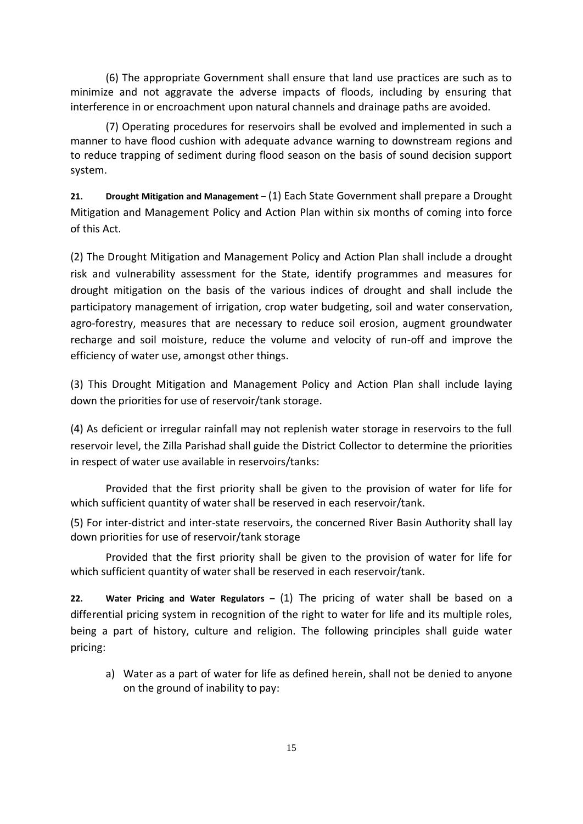(6) The appropriate Government shall ensure that land use practices are such as to minimize and not aggravate the adverse impacts of floods, including by ensuring that interference in or encroachment upon natural channels and drainage paths are avoided.

(7) Operating procedures for reservoirs shall be evolved and implemented in such a manner to have flood cushion with adequate advance warning to downstream regions and to reduce trapping of sediment during flood season on the basis of sound decision support system.

**21. Drought Mitigation and Management –** (1) Each State Government shall prepare a Drought Mitigation and Management Policy and Action Plan within six months of coming into force of this Act.

(2) The Drought Mitigation and Management Policy and Action Plan shall include a drought risk and vulnerability assessment for the State, identify programmes and measures for drought mitigation on the basis of the various indices of drought and shall include the participatory management of irrigation, crop water budgeting, soil and water conservation, agro-forestry, measures that are necessary to reduce soil erosion, augment groundwater recharge and soil moisture, reduce the volume and velocity of run-off and improve the efficiency of water use, amongst other things.

(3) This Drought Mitigation and Management Policy and Action Plan shall include laying down the priorities for use of reservoir/tank storage.

(4) As deficient or irregular rainfall may not replenish water storage in reservoirs to the full reservoir level, the Zilla Parishad shall guide the District Collector to determine the priorities in respect of water use available in reservoirs/tanks:

Provided that the first priority shall be given to the provision of water for life for which sufficient quantity of water shall be reserved in each reservoir/tank.

(5) For inter-district and inter-state reservoirs, the concerned River Basin Authority shall lay down priorities for use of reservoir/tank storage

Provided that the first priority shall be given to the provision of water for life for which sufficient quantity of water shall be reserved in each reservoir/tank.

**22. Water Pricing and Water Regulators –** (1) The pricing of water shall be based on a differential pricing system in recognition of the right to water for life and its multiple roles, being a part of history, culture and religion. The following principles shall guide water pricing:

a) Water as a part of water for life as defined herein, shall not be denied to anyone on the ground of inability to pay: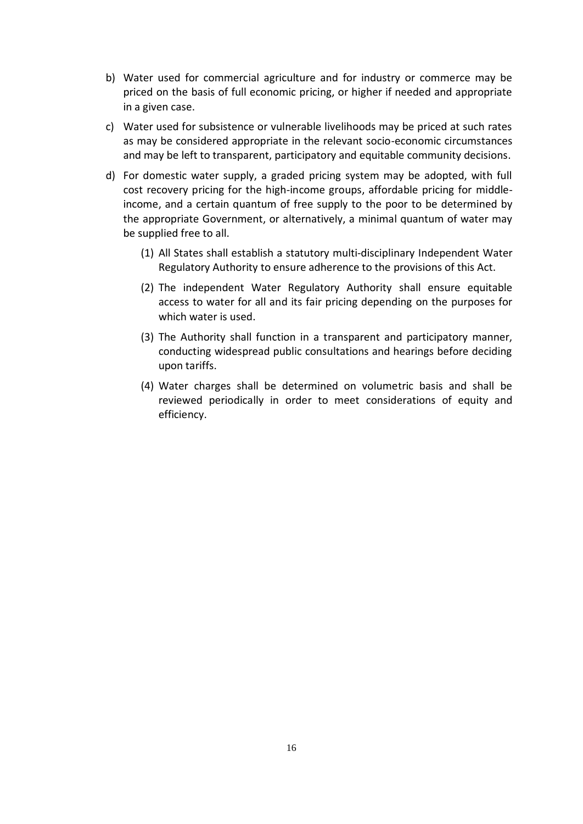- b) Water used for commercial agriculture and for industry or commerce may be priced on the basis of full economic pricing, or higher if needed and appropriate in a given case.
- c) Water used for subsistence or vulnerable livelihoods may be priced at such rates as may be considered appropriate in the relevant socio-economic circumstances and may be left to transparent, participatory and equitable community decisions.
- d) For domestic water supply, a graded pricing system may be adopted, with full cost recovery pricing for the high-income groups, affordable pricing for middleincome, and a certain quantum of free supply to the poor to be determined by the appropriate Government, or alternatively, a minimal quantum of water may be supplied free to all.
	- (1) All States shall establish a statutory multi-disciplinary Independent Water Regulatory Authority to ensure adherence to the provisions of this Act.
	- (2) The independent Water Regulatory Authority shall ensure equitable access to water for all and its fair pricing depending on the purposes for which water is used.
	- (3) The Authority shall function in a transparent and participatory manner, conducting widespread public consultations and hearings before deciding upon tariffs.
	- (4) Water charges shall be determined on volumetric basis and shall be reviewed periodically in order to meet considerations of equity and efficiency.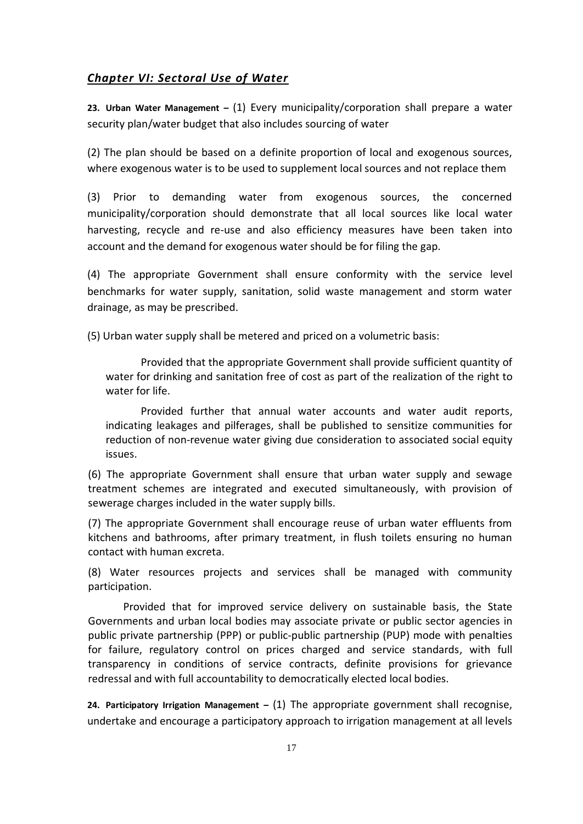#### *Chapter VI: Sectoral Use of Water*

**23. Urban Water Management –** (1) Every municipality/corporation shall prepare a water security plan/water budget that also includes sourcing of water

(2) The plan should be based on a definite proportion of local and exogenous sources, where exogenous water is to be used to supplement local sources and not replace them

(3) Prior to demanding water from exogenous sources, the concerned municipality/corporation should demonstrate that all local sources like local water harvesting, recycle and re-use and also efficiency measures have been taken into account and the demand for exogenous water should be for filing the gap.

(4) The appropriate Government shall ensure conformity with the service level benchmarks for water supply, sanitation, solid waste management and storm water drainage, as may be prescribed.

(5) Urban water supply shall be metered and priced on a volumetric basis:

Provided that the appropriate Government shall provide sufficient quantity of water for drinking and sanitation free of cost as part of the realization of the right to water for life.

Provided further that annual water accounts and water audit reports, indicating leakages and pilferages, shall be published to sensitize communities for reduction of non-revenue water giving due consideration to associated social equity issues.

(6) The appropriate Government shall ensure that urban water supply and sewage treatment schemes are integrated and executed simultaneously, with provision of sewerage charges included in the water supply bills.

(7) The appropriate Government shall encourage reuse of urban water effluents from kitchens and bathrooms, after primary treatment, in flush toilets ensuring no human contact with human excreta.

(8) Water resources projects and services shall be managed with community participation.

Provided that for improved service delivery on sustainable basis, the State Governments and urban local bodies may associate private or public sector agencies in public private partnership (PPP) or public-public partnership (PUP) mode with penalties for failure, regulatory control on prices charged and service standards, with full transparency in conditions of service contracts, definite provisions for grievance redressal and with full accountability to democratically elected local bodies.

**24. Participatory Irrigation Management –** (1) The appropriate government shall recognise, undertake and encourage a participatory approach to irrigation management at all levels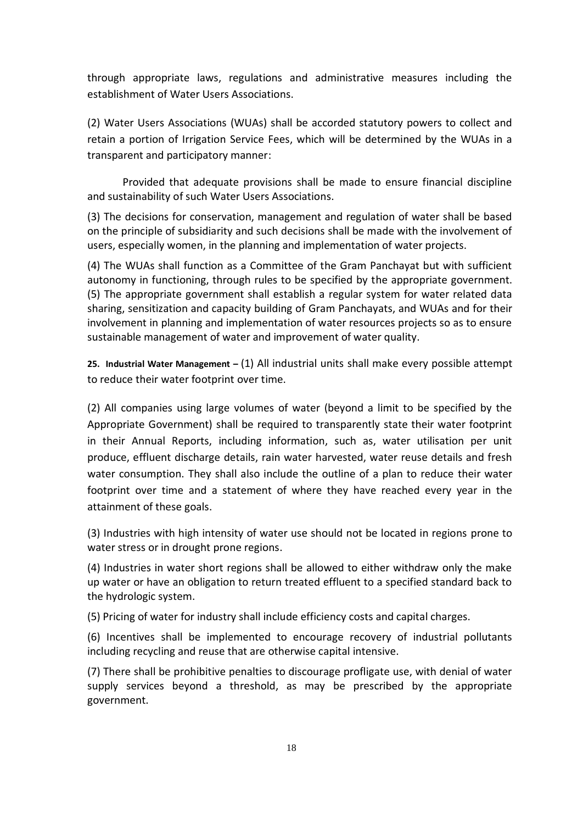through appropriate laws, regulations and administrative measures including the establishment of Water Users Associations.

(2) Water Users Associations (WUAs) shall be accorded statutory powers to collect and retain a portion of Irrigation Service Fees, which will be determined by the WUAs in a transparent and participatory manner:

Provided that adequate provisions shall be made to ensure financial discipline and sustainability of such Water Users Associations.

(3) The decisions for conservation, management and regulation of water shall be based on the principle of subsidiarity and such decisions shall be made with the involvement of users, especially women, in the planning and implementation of water projects.

(4) The WUAs shall function as a Committee of the Gram Panchayat but with sufficient autonomy in functioning, through rules to be specified by the appropriate government. (5) The appropriate government shall establish a regular system for water related data sharing, sensitization and capacity building of Gram Panchayats, and WUAs and for their involvement in planning and implementation of water resources projects so as to ensure sustainable management of water and improvement of water quality.

**25. Industrial Water Management –** (1) All industrial units shall make every possible attempt to reduce their water footprint over time.

(2) All companies using large volumes of water (beyond a limit to be specified by the Appropriate Government) shall be required to transparently state their water footprint in their Annual Reports, including information, such as, water utilisation per unit produce, effluent discharge details, rain water harvested, water reuse details and fresh water consumption. They shall also include the outline of a plan to reduce their water footprint over time and a statement of where they have reached every year in the attainment of these goals.

(3) Industries with high intensity of water use should not be located in regions prone to water stress or in drought prone regions.

(4) Industries in water short regions shall be allowed to either withdraw only the make up water or have an obligation to return treated effluent to a specified standard back to the hydrologic system.

(5) Pricing of water for industry shall include efficiency costs and capital charges.

(6) Incentives shall be implemented to encourage recovery of industrial pollutants including recycling and reuse that are otherwise capital intensive.

(7) There shall be prohibitive penalties to discourage profligate use, with denial of water supply services beyond a threshold, as may be prescribed by the appropriate government.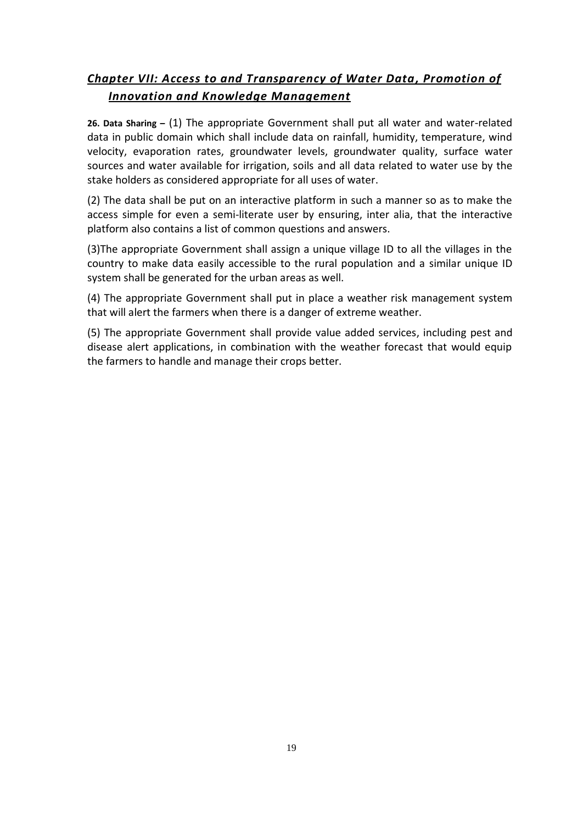#### *Chapter VII: Access to and Transparency of Water Data, Promotion of Innovation and Knowledge Management*

**26. Data Sharing –** (1) The appropriate Government shall put all water and water-related data in public domain which shall include data on rainfall, humidity, temperature, wind velocity, evaporation rates, groundwater levels, groundwater quality, surface water sources and water available for irrigation, soils and all data related to water use by the stake holders as considered appropriate for all uses of water.

(2) The data shall be put on an interactive platform in such a manner so as to make the access simple for even a semi-literate user by ensuring, inter alia, that the interactive platform also contains a list of common questions and answers.

(3)The appropriate Government shall assign a unique village ID to all the villages in the country to make data easily accessible to the rural population and a similar unique ID system shall be generated for the urban areas as well.

(4) The appropriate Government shall put in place a weather risk management system that will alert the farmers when there is a danger of extreme weather.

(5) The appropriate Government shall provide value added services, including pest and disease alert applications, in combination with the weather forecast that would equip the farmers to handle and manage their crops better.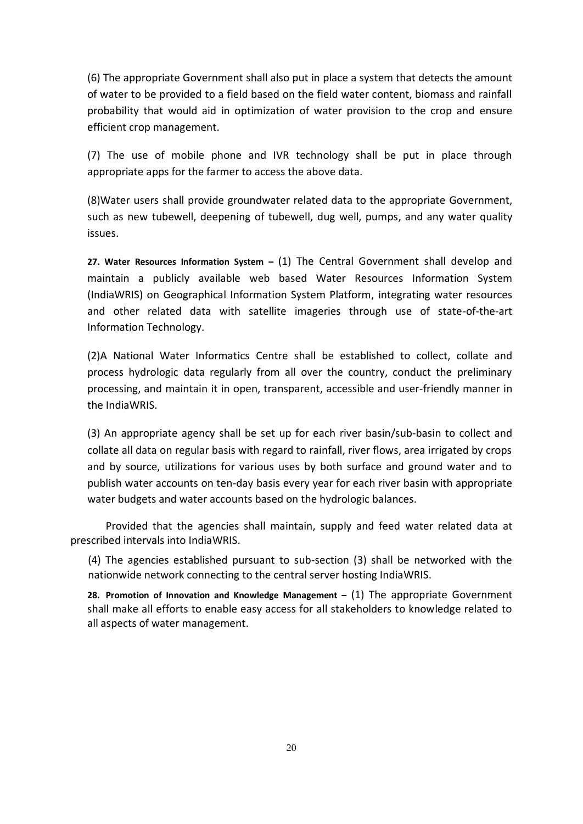(6) The appropriate Government shall also put in place a system that detects the amount of water to be provided to a field based on the field water content, biomass and rainfall probability that would aid in optimization of water provision to the crop and ensure efficient crop management.

(7) The use of mobile phone and IVR technology shall be put in place through appropriate apps for the farmer to access the above data.

(8)Water users shall provide groundwater related data to the appropriate Government, such as new tubewell, deepening of tubewell, dug well, pumps, and any water quality issues.

**27. Water Resources Information System –** (1) The Central Government shall develop and maintain a publicly available web based Water Resources Information System (IndiaWRIS) on Geographical Information System Platform, integrating water resources and other related data with satellite imageries through use of state-of-the-art Information Technology.

(2)A National Water Informatics Centre shall be established to collect, collate and process hydrologic data regularly from all over the country, conduct the preliminary processing, and maintain it in open, transparent, accessible and user-friendly manner in the IndiaWRIS.

(3) An appropriate agency shall be set up for each river basin/sub-basin to collect and collate all data on regular basis with regard to rainfall, river flows, area irrigated by crops and by source, utilizations for various uses by both surface and ground water and to publish water accounts on ten-day basis every year for each river basin with appropriate water budgets and water accounts based on the hydrologic balances.

Provided that the agencies shall maintain, supply and feed water related data at prescribed intervals into IndiaWRIS.

(4) The agencies established pursuant to sub-section (3) shall be networked with the nationwide network connecting to the central server hosting IndiaWRIS.

**28. Promotion of Innovation and Knowledge Management –** (1) The appropriate Government shall make all efforts to enable easy access for all stakeholders to knowledge related to all aspects of water management.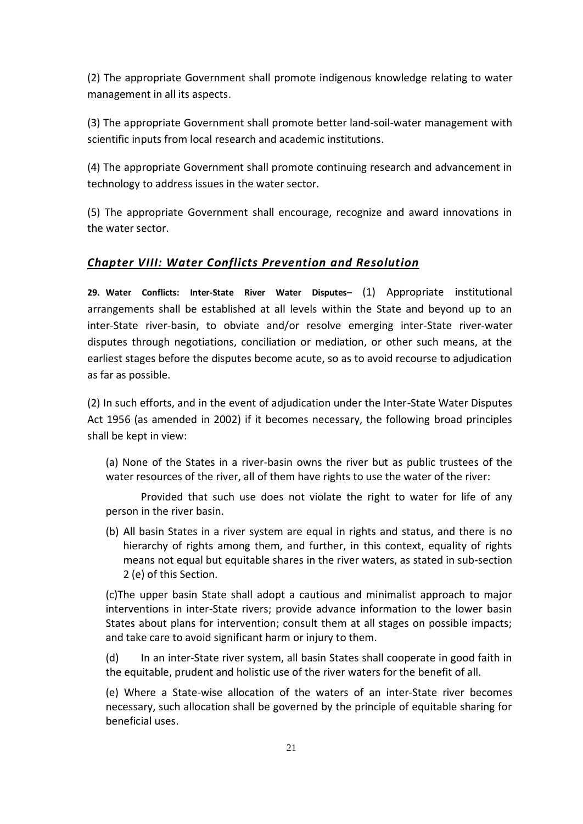(2) The appropriate Government shall promote indigenous knowledge relating to water management in all its aspects.

(3) The appropriate Government shall promote better land-soil-water management with scientific inputs from local research and academic institutions.

(4) The appropriate Government shall promote continuing research and advancement in technology to address issues in the water sector.

(5) The appropriate Government shall encourage, recognize and award innovations in the water sector.

#### *Chapter VIII: Water Conflicts Prevention and Resolution*

**29. Water Conflicts: Inter-State River Water Disputes–** (1) Appropriate institutional arrangements shall be established at all levels within the State and beyond up to an inter-State river-basin, to obviate and/or resolve emerging inter-State river-water disputes through negotiations, conciliation or mediation, or other such means, at the earliest stages before the disputes become acute, so as to avoid recourse to adjudication as far as possible.

(2) In such efforts, and in the event of adjudication under the Inter-State Water Disputes Act 1956 (as amended in 2002) if it becomes necessary, the following broad principles shall be kept in view:

(a) None of the States in a river-basin owns the river but as public trustees of the water resources of the river, all of them have rights to use the water of the river:

Provided that such use does not violate the right to water for life of any person in the river basin.

(b) All basin States in a river system are equal in rights and status, and there is no hierarchy of rights among them, and further, in this context, equality of rights means not equal but equitable shares in the river waters, as stated in sub-section 2 (e) of this Section.

(c)The upper basin State shall adopt a cautious and minimalist approach to major interventions in inter-State rivers; provide advance information to the lower basin States about plans for intervention; consult them at all stages on possible impacts; and take care to avoid significant harm or injury to them.

(d) In an inter-State river system, all basin States shall cooperate in good faith in the equitable, prudent and holistic use of the river waters for the benefit of all.

(e) Where a State-wise allocation of the waters of an inter-State river becomes necessary, such allocation shall be governed by the principle of equitable sharing for beneficial uses.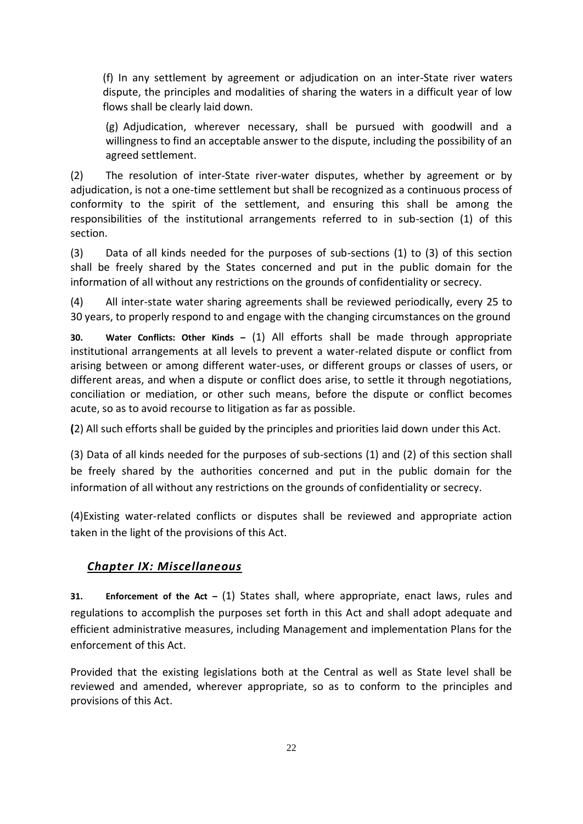(f) In any settlement by agreement or adjudication on an inter-State river waters dispute, the principles and modalities of sharing the waters in a difficult year of low flows shall be clearly laid down.

(g) Adjudication, wherever necessary, shall be pursued with goodwill and a willingness to find an acceptable answer to the dispute, including the possibility of an agreed settlement.

(2) The resolution of inter-State river-water disputes, whether by agreement or by adjudication, is not a one-time settlement but shall be recognized as a continuous process of conformity to the spirit of the settlement, and ensuring this shall be among the responsibilities of the institutional arrangements referred to in sub-section (1) of this section.

(3) Data of all kinds needed for the purposes of sub-sections (1) to (3) of this section shall be freely shared by the States concerned and put in the public domain for the information of all without any restrictions on the grounds of confidentiality or secrecy.

(4) All inter-state water sharing agreements shall be reviewed periodically, every 25 to 30 years, to properly respond to and engage with the changing circumstances on the ground

**30. Water Conflicts: Other Kinds –** (1) All efforts shall be made through appropriate institutional arrangements at all levels to prevent a water-related dispute or conflict from arising between or among different water-uses, or different groups or classes of users, or different areas, and when a dispute or conflict does arise, to settle it through negotiations, conciliation or mediation, or other such means, before the dispute or conflict becomes acute, so as to avoid recourse to litigation as far as possible.

**(**2) All such efforts shall be guided by the principles and priorities laid down under this Act.

(3) Data of all kinds needed for the purposes of sub-sections (1) and (2) of this section shall be freely shared by the authorities concerned and put in the public domain for the information of all without any restrictions on the grounds of confidentiality or secrecy.

(4)Existing water-related conflicts or disputes shall be reviewed and appropriate action taken in the light of the provisions of this Act.

#### *Chapter IX: Miscellaneous*

**31. Enforcement of the Act –** (1) States shall, where appropriate, enact laws, rules and regulations to accomplish the purposes set forth in this Act and shall adopt adequate and efficient administrative measures, including Management and implementation Plans for the enforcement of this Act.

Provided that the existing legislations both at the Central as well as State level shall be reviewed and amended, wherever appropriate, so as to conform to the principles and provisions of this Act.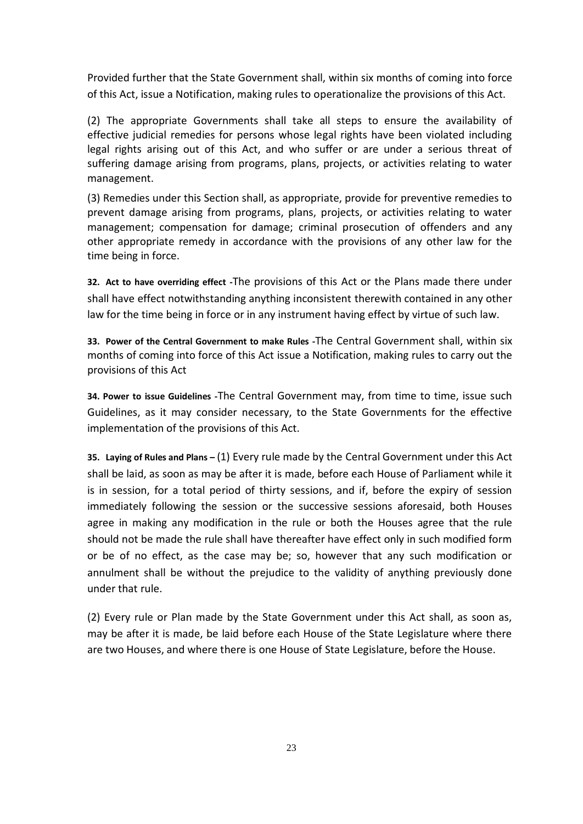Provided further that the State Government shall, within six months of coming into force of this Act, issue a Notification, making rules to operationalize the provisions of this Act.

(2) The appropriate Governments shall take all steps to ensure the availability of effective judicial remedies for persons whose legal rights have been violated including legal rights arising out of this Act, and who suffer or are under a serious threat of suffering damage arising from programs, plans, projects, or activities relating to water management.

(3) Remedies under this Section shall, as appropriate, provide for preventive remedies to prevent damage arising from programs, plans, projects, or activities relating to water management; compensation for damage; criminal prosecution of offenders and any other appropriate remedy in accordance with the provisions of any other law for the time being in force.

**32. Act to have overriding effect -**The provisions of this Act or the Plans made there under shall have effect notwithstanding anything inconsistent therewith contained in any other law for the time being in force or in any instrument having effect by virtue of such law.

**33. Power of the Central Government to make Rules -**The Central Government shall, within six months of coming into force of this Act issue a Notification, making rules to carry out the provisions of this Act

**34. Power to issue Guidelines -**The Central Government may, from time to time, issue such Guidelines, as it may consider necessary, to the State Governments for the effective implementation of the provisions of this Act.

**35. Laying of Rules and Plans –** (1) Every rule made by the Central Government under this Act shall be laid, as soon as may be after it is made, before each House of Parliament while it is in session, for a total period of thirty sessions, and if, before the expiry of session immediately following the session or the successive sessions aforesaid, both Houses agree in making any modification in the rule or both the Houses agree that the rule should not be made the rule shall have thereafter have effect only in such modified form or be of no effect, as the case may be; so, however that any such modification or annulment shall be without the prejudice to the validity of anything previously done under that rule.

(2) Every rule or Plan made by the State Government under this Act shall, as soon as, may be after it is made, be laid before each House of the State Legislature where there are two Houses, and where there is one House of State Legislature, before the House.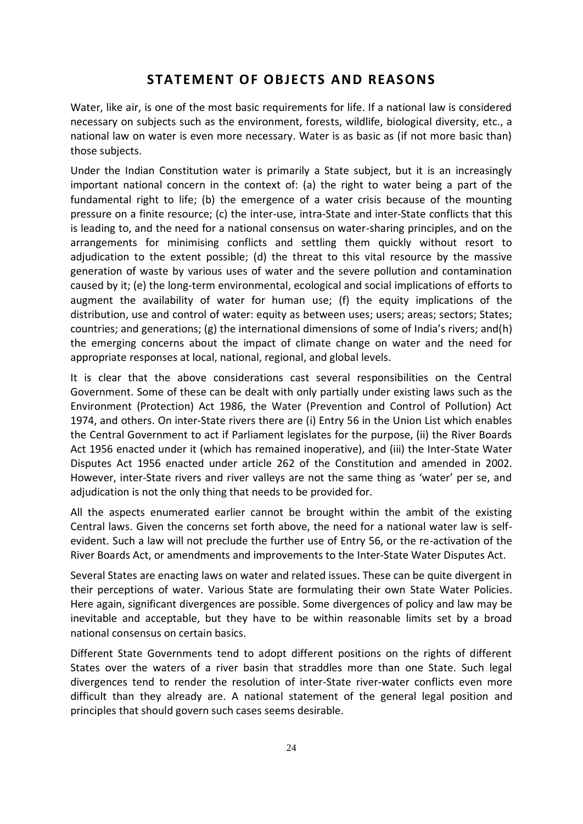#### **STATEMENT OF OBJECTS AND REASONS**

Water, like air, is one of the most basic requirements for life. If a national law is considered necessary on subjects such as the environment, forests, wildlife, biological diversity, etc., a national law on water is even more necessary. Water is as basic as (if not more basic than) those subjects.

Under the Indian Constitution water is primarily a State subject, but it is an increasingly important national concern in the context of: (a) the right to water being a part of the fundamental right to life; (b) the emergence of a water crisis because of the mounting pressure on a finite resource; (c) the inter-use, intra-State and inter-State conflicts that this is leading to, and the need for a national consensus on water-sharing principles, and on the arrangements for minimising conflicts and settling them quickly without resort to adjudication to the extent possible; (d) the threat to this vital resource by the massive generation of waste by various uses of water and the severe pollution and contamination caused by it; (e) the long-term environmental, ecological and social implications of efforts to augment the availability of water for human use; (f) the equity implications of the distribution, use and control of water: equity as between uses; users; areas; sectors; States; countries; and generations; (g) the international dimensions of some of India's rivers; and(h) the emerging concerns about the impact of climate change on water and the need for appropriate responses at local, national, regional, and global levels.

It is clear that the above considerations cast several responsibilities on the Central Government. Some of these can be dealt with only partially under existing laws such as the Environment (Protection) Act 1986, the Water (Prevention and Control of Pollution) Act 1974, and others. On inter-State rivers there are (i) Entry 56 in the Union List which enables the Central Government to act if Parliament legislates for the purpose, (ii) the River Boards Act 1956 enacted under it (which has remained inoperative), and (iii) the Inter-State Water Disputes Act 1956 enacted under article 262 of the Constitution and amended in 2002. However, inter-State rivers and river valleys are not the same thing as 'water' per se, and adjudication is not the only thing that needs to be provided for.

All the aspects enumerated earlier cannot be brought within the ambit of the existing Central laws. Given the concerns set forth above, the need for a national water law is selfevident. Such a law will not preclude the further use of Entry 56, or the re-activation of the River Boards Act, or amendments and improvements to the Inter-State Water Disputes Act.

Several States are enacting laws on water and related issues. These can be quite divergent in their perceptions of water. Various State are formulating their own State Water Policies. Here again, significant divergences are possible. Some divergences of policy and law may be inevitable and acceptable, but they have to be within reasonable limits set by a broad national consensus on certain basics.

Different State Governments tend to adopt different positions on the rights of different States over the waters of a river basin that straddles more than one State. Such legal divergences tend to render the resolution of inter-State river-water conflicts even more difficult than they already are. A national statement of the general legal position and principles that should govern such cases seems desirable.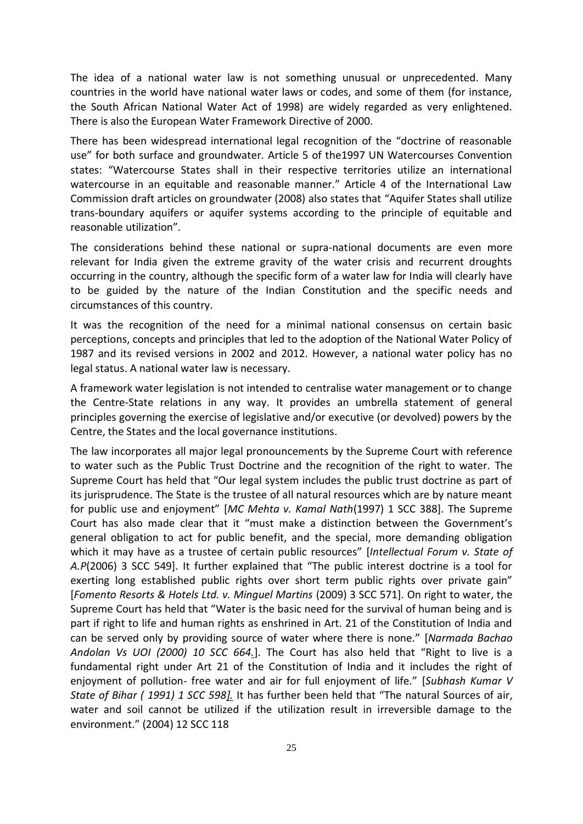The idea of a national water law is not something unusual or unprecedented. Many countries in the world have national water laws or codes, and some of them (for instance, the South African National Water Act of 1998) are widely regarded as very enlightened. There is also the European Water Framework Directive of 2000.

There has been widespread international legal recognition of the "doctrine of reasonable use" for both surface and groundwater. Article 5 of the1997 UN Watercourses Convention states: "Watercourse States shall in their respective territories utilize an international watercourse in an equitable and reasonable manner." Article 4 of the International Law Commission draft articles on groundwater (2008) also states that "Aquifer States shall utilize trans-boundary aquifers or aquifer systems according to the principle of equitable and reasonable utilization".

The considerations behind these national or supra-national documents are even more relevant for India given the extreme gravity of the water crisis and recurrent droughts occurring in the country, although the specific form of a water law for India will clearly have to be guided by the nature of the Indian Constitution and the specific needs and circumstances of this country.

It was the recognition of the need for a minimal national consensus on certain basic perceptions, concepts and principles that led to the adoption of the National Water Policy of 1987 and its revised versions in 2002 and 2012. However, a national water policy has no legal status. A national water law is necessary.

A framework water legislation is not intended to centralise water management or to change the Centre-State relations in any way. It provides an umbrella statement of general principles governing the exercise of legislative and/or executive (or devolved) powers by the Centre, the States and the local governance institutions.

The law incorporates all major legal pronouncements by the Supreme Court with reference to water such as the Public Trust Doctrine and the recognition of the right to water. The Supreme Court has held that "Our legal system includes the public trust doctrine as part of its jurisprudence. The State is the trustee of all natural resources which are by nature meant for public use and enjoyment" *[MC Mehta v. Kamal Nath*(1997) 1 SCC 388]. The Supreme Court has also made clear that it "must make a distinction between the Government's general obligation to act for public benefit, and the special, more demanding obligation which it may have as a trustee of certain public resources" [*Intellectual Forum v. State of A.P*(2006) 3 SCC 549]. It further explained that "The public interest doctrine is a tool for exerting long established public rights over short term public rights over private gain" [*Fomento Resorts & Hotels Ltd. v. Minguel Martins* (2009) 3 SCC 571]. On right to water, the Supreme Court has held that "Water is the basic need for the survival of human being and is part if right to life and human rights as enshrined in Art. 21 of the Constitution of India and can be served only by providing source of water where there is none." [*Narmada Bachao Andolan Vs UOI (2000) 10 SCC 664.*]. The Court has also held that "Right to live is a fundamental right under Art 21 of the Constitution of India and it includes the right of enjoyment of pollution- free water and air for full enjoyment of life." [*Subhash Kumar V State of Bihar ( 1991) 1 SCC 598].* It has further been held that "The natural Sources of air, water and soil cannot be utilized if the utilization result in irreversible damage to the environment." (2004) 12 SCC 118